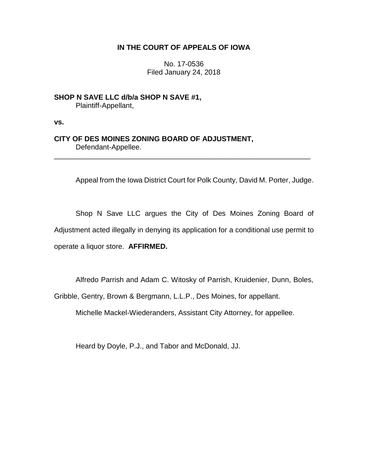## **IN THE COURT OF APPEALS OF IOWA**

No. 17-0536 Filed January 24, 2018

**SHOP N SAVE LLC d/b/a SHOP N SAVE #1,** Plaintiff-Appellant,

**vs.**

# **CITY OF DES MOINES ZONING BOARD OF ADJUSTMENT,** Defendant-Appellee.

Appeal from the Iowa District Court for Polk County, David M. Porter, Judge.

Shop N Save LLC argues the City of Des Moines Zoning Board of Adjustment acted illegally in denying its application for a conditional use permit to operate a liquor store. **AFFIRMED.**

\_\_\_\_\_\_\_\_\_\_\_\_\_\_\_\_\_\_\_\_\_\_\_\_\_\_\_\_\_\_\_\_\_\_\_\_\_\_\_\_\_\_\_\_\_\_\_\_\_\_\_\_\_\_\_\_\_\_\_\_\_\_\_\_

Alfredo Parrish and Adam C. Witosky of Parrish, Kruidenier, Dunn, Boles,

Gribble, Gentry, Brown & Bergmann, L.L.P., Des Moines, for appellant.

Michelle Mackel-Wiederanders, Assistant City Attorney, for appellee.

Heard by Doyle, P.J., and Tabor and McDonald, JJ.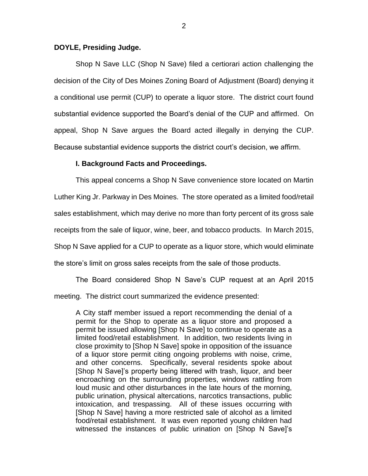### **DOYLE, Presiding Judge.**

Shop N Save LLC (Shop N Save) filed a certiorari action challenging the decision of the City of Des Moines Zoning Board of Adjustment (Board) denying it a conditional use permit (CUP) to operate a liquor store. The district court found substantial evidence supported the Board's denial of the CUP and affirmed. On appeal, Shop N Save argues the Board acted illegally in denying the CUP. Because substantial evidence supports the district court's decision, we affirm.

#### **I. Background Facts and Proceedings.**

This appeal concerns a Shop N Save convenience store located on Martin Luther King Jr. Parkway in Des Moines. The store operated as a limited food/retail sales establishment, which may derive no more than forty percent of its gross sale receipts from the sale of liquor, wine, beer, and tobacco products. In March 2015, Shop N Save applied for a CUP to operate as a liquor store, which would eliminate the store's limit on gross sales receipts from the sale of those products.

The Board considered Shop N Save's CUP request at an April 2015 meeting. The district court summarized the evidence presented:

A City staff member issued a report recommending the denial of a permit for the Shop to operate as a liquor store and proposed a permit be issued allowing [Shop N Save] to continue to operate as a limited food/retail establishment. In addition, two residents living in close proximity to [Shop N Save] spoke in opposition of the issuance of a liquor store permit citing ongoing problems with noise, crime, and other concerns. Specifically, several residents spoke about [Shop N Save]'s property being littered with trash, liquor, and beer encroaching on the surrounding properties, windows rattling from loud music and other disturbances in the late hours of the morning, public urination, physical altercations, narcotics transactions, public intoxication, and trespassing. All of these issues occurring with [Shop N Save] having a more restricted sale of alcohol as a limited food/retail establishment. It was even reported young children had witnessed the instances of public urination on [Shop N Save]'s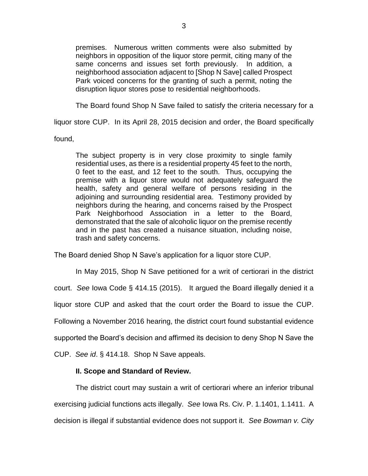premises. Numerous written comments were also submitted by neighbors in opposition of the liquor store permit, citing many of the same concerns and issues set forth previously. In addition, a neighborhood association adjacent to [Shop N Save] called Prospect Park voiced concerns for the granting of such a permit, noting the disruption liquor stores pose to residential neighborhoods.

The Board found Shop N Save failed to satisfy the criteria necessary for a

liquor store CUP. In its April 28, 2015 decision and order, the Board specifically

found,

The subject property is in very close proximity to single family residential uses, as there is a residential property 45 feet to the north, 0 feet to the east, and 12 feet to the south. Thus, occupying the premise with a liquor store would not adequately safeguard the health, safety and general welfare of persons residing in the adjoining and surrounding residential area. Testimony provided by neighbors during the hearing, and concerns raised by the Prospect Park Neighborhood Association in a letter to the Board, demonstrated that the sale of alcoholic liquor on the premise recently and in the past has created a nuisance situation, including noise, trash and safety concerns.

The Board denied Shop N Save's application for a liquor store CUP.

In May 2015, Shop N Save petitioned for a writ of certiorari in the district court. *See* Iowa Code § 414.15 (2015). It argued the Board illegally denied it a liquor store CUP and asked that the court order the Board to issue the CUP. Following a November 2016 hearing, the district court found substantial evidence supported the Board's decision and affirmed its decision to deny Shop N Save the

CUP. *See id*. § 414.18. Shop N Save appeals.

# **II. Scope and Standard of Review.**

The district court may sustain a writ of certiorari where an inferior tribunal exercising judicial functions acts illegally. *See* Iowa Rs. Civ. P. 1.1401, 1.1411. A decision is illegal if substantial evidence does not support it. *See Bowman v. City*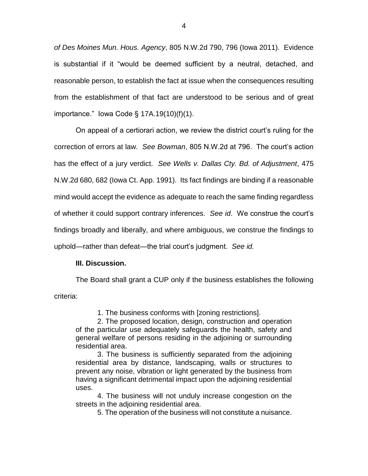*of Des Moines Mun. Hous. Agency*, 805 N.W.2d 790, 796 (Iowa 2011). Evidence is substantial if it "would be deemed sufficient by a neutral, detached, and reasonable person, to establish the fact at issue when the consequences resulting from the establishment of that fact are understood to be serious and of great importance." Iowa Code § 17A.19(10)(f)(1).

On appeal of a certiorari action, we review the district court's ruling for the correction of errors at law. *See Bowman*, 805 N.W.2d at 796. The court's action has the effect of a jury verdict. *See Wells v. Dallas Cty. Bd. of Adjustment*, 475 N.W.2d 680, 682 (Iowa Ct. App. 1991). Its fact findings are binding if a reasonable mind would accept the evidence as adequate to reach the same finding regardless of whether it could support contrary inferences. *See id*. We construe the court's findings broadly and liberally, and where ambiguous, we construe the findings to uphold—rather than defeat—the trial court's judgment. *See id.*

### **III. Discussion.**

The Board shall grant a CUP only if the business establishes the following criteria:

1. The business conforms with [zoning restrictions].

2. The proposed location, design, construction and operation of the particular use adequately safeguards the health, safety and general welfare of persons residing in the adjoining or surrounding residential area.

3. The business is sufficiently separated from the adjoining residential area by distance, landscaping, walls or structures to prevent any noise, vibration or light generated by the business from having a significant detrimental impact upon the adjoining residential uses.

4. The business will not unduly increase congestion on the streets in the adjoining residential area.

5. The operation of the business will not constitute a nuisance.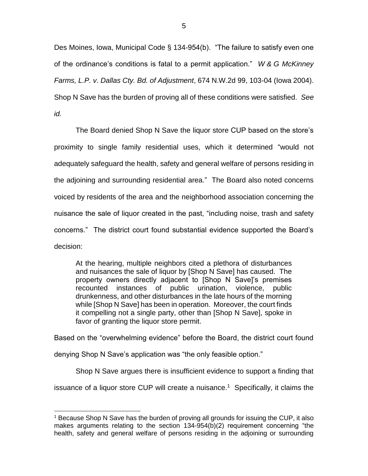Des Moines, Iowa, Municipal Code § 134-954(b). "The failure to satisfy even one of the ordinance's conditions is fatal to a permit application." *W & G McKinney Farms, L.P. v. Dallas Cty. Bd. of Adjustment*, 674 N.W.2d 99, 103-04 (Iowa 2004). Shop N Save has the burden of proving all of these conditions were satisfied. *See id.*

The Board denied Shop N Save the liquor store CUP based on the store's proximity to single family residential uses, which it determined "would not adequately safeguard the health, safety and general welfare of persons residing in the adjoining and surrounding residential area." The Board also noted concerns voiced by residents of the area and the neighborhood association concerning the nuisance the sale of liquor created in the past, "including noise, trash and safety concerns." The district court found substantial evidence supported the Board's decision:

At the hearing, multiple neighbors cited a plethora of disturbances and nuisances the sale of liquor by [Shop N Save] has caused. The property owners directly adjacent to [Shop N Save]'s premises recounted instances of public urination, violence, public drunkenness, and other disturbances in the late hours of the morning while [Shop N Save] has been in operation. Moreover, the court finds it compelling not a single party, other than [Shop N Save], spoke in favor of granting the liquor store permit.

Based on the "overwhelming evidence" before the Board, the district court found

denying Shop N Save's application was "the only feasible option."

Shop N Save argues there is insufficient evidence to support a finding that

issuance of a liquor store CUP will create a nuisance.<sup>1</sup> Specifically, it claims the

 $\overline{a}$ <sup>1</sup> Because Shop N Save has the burden of proving all grounds for issuing the CUP, it also makes arguments relating to the section 134-954(b)(2) requirement concerning "the health, safety and general welfare of persons residing in the adjoining or surrounding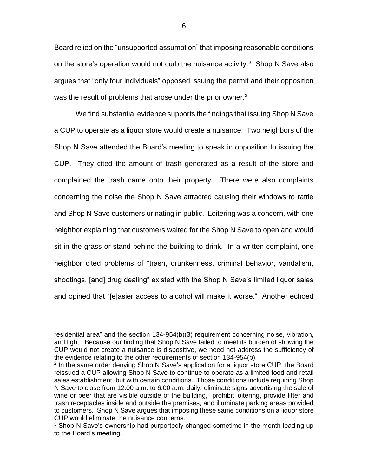Board relied on the "unsupported assumption" that imposing reasonable conditions on the store's operation would not curb the nuisance activity.<sup>2</sup> Shop N Save also argues that "only four individuals" opposed issuing the permit and their opposition was the result of problems that arose under the prior owner. $3$ 

We find substantial evidence supports the findings that issuing Shop N Save a CUP to operate as a liquor store would create a nuisance. Two neighbors of the Shop N Save attended the Board's meeting to speak in opposition to issuing the CUP. They cited the amount of trash generated as a result of the store and complained the trash came onto their property. There were also complaints concerning the noise the Shop N Save attracted causing their windows to rattle and Shop N Save customers urinating in public. Loitering was a concern, with one neighbor explaining that customers waited for the Shop N Save to open and would sit in the grass or stand behind the building to drink. In a written complaint, one neighbor cited problems of "trash, drunkenness, criminal behavior, vandalism, shootings, [and] drug dealing" existed with the Shop N Save's limited liquor sales and opined that "[e]asier access to alcohol will make it worse." Another echoed

 $\overline{a}$ 

residential area" and the section 134-954(b)(3) requirement concerning noise, vibration, and light. Because our finding that Shop N Save failed to meet its burden of showing the CUP would not create a nuisance is dispositive, we need not address the sufficiency of the evidence relating to the other requirements of section 134-954(b).

<sup>&</sup>lt;sup>2</sup> In the same order denying Shop N Save's application for a liquor store CUP, the Board reissued a CUP allowing Shop N Save to continue to operate as a limited food and retail sales establishment, but with certain conditions. Those conditions include requiring Shop N Save to close from 12:00 a.m. to 6:00 a.m. daily, eliminate signs advertising the sale of wine or beer that are visible outside of the building, prohibit loitering, provide litter and trash receptacles inside and outside the premises, and illuminate parking areas provided to customers. Shop N Save argues that imposing these same conditions on a liquor store CUP would eliminate the nuisance concerns.

 $3$  Shop N Save's ownership had purportedly changed sometime in the month leading up to the Board's meeting.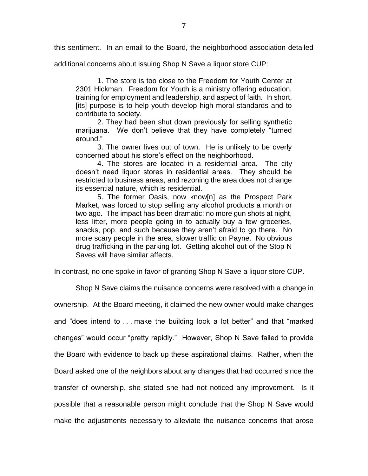this sentiment. In an email to the Board, the neighborhood association detailed

additional concerns about issuing Shop N Save a liquor store CUP:

1. The store is too close to the Freedom for Youth Center at 2301 Hickman. Freedom for Youth is a ministry offering education, training for employment and leadership, and aspect of faith. In short, [its] purpose is to help youth develop high moral standards and to contribute to society.

2. They had been shut down previously for selling synthetic marijuana. We don't believe that they have completely "turned around."

3. The owner lives out of town. He is unlikely to be overly concerned about his store's effect on the neighborhood.

4. The stores are located in a residential area. The city doesn't need liquor stores in residential areas. They should be restricted to business areas, and rezoning the area does not change its essential nature, which is residential.

5. The former Oasis, now know[n] as the Prospect Park Market, was forced to stop selling any alcohol products a month or two ago. The impact has been dramatic: no more gun shots at night, less litter, more people going in to actually buy a few groceries, snacks, pop, and such because they aren't afraid to go there. No more scary people in the area, slower traffic on Payne. No obvious drug trafficking in the parking lot. Getting alcohol out of the Stop N Saves will have similar affects.

In contrast, no one spoke in favor of granting Shop N Save a liquor store CUP.

Shop N Save claims the nuisance concerns were resolved with a change in

ownership. At the Board meeting, it claimed the new owner would make changes and "does intend to . . . make the building look a lot better" and that "marked changes" would occur "pretty rapidly." However, Shop N Save failed to provide the Board with evidence to back up these aspirational claims. Rather, when the Board asked one of the neighbors about any changes that had occurred since the transfer of ownership, she stated she had not noticed any improvement. Is it possible that a reasonable person might conclude that the Shop N Save would make the adjustments necessary to alleviate the nuisance concerns that arose